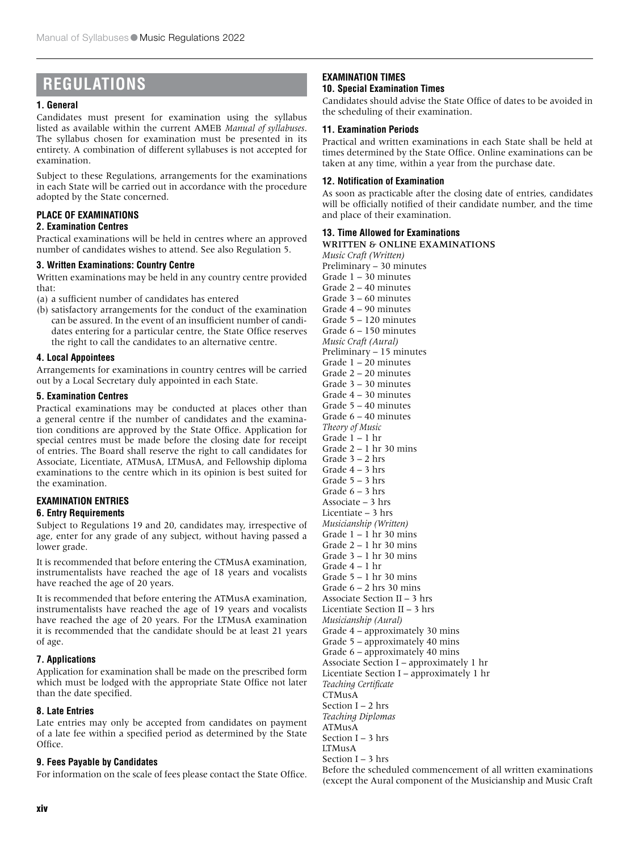# **REGULATIONS**

# **1. General**

Candidates must present for examination using the syllabus listed as available within the current AMEB *Manual of syllabuses*. The syllabus chosen for examination must be presented in its entirety. A combination of different syllabuses is not accepted for examination.

Subject to these Regulations, arrangements for the examinations in each State will be carried out in accordance with the procedure adopted by the State concerned.

# **PLACE OF EXAMINATIONS**

# **2. Examination Centres**

Practical examinations will be held in centres where an approved number of candidates wishes to attend. See also Regulation 5.

# **3. Written Examinations: Country Centre**

Written examinations may be held in any country centre provided that:

(a) a sufficient number of candidates has entered

(b) satisfactory arrangements for the conduct of the examination can be assured. In the event of an insufficient number of candidates entering for a particular centre, the State Office reserves the right to call the candidates to an alternative centre.

# **4. Local Appointees**

Arrangements for examinations in country centres will be carried out by a Local Secretary duly appointed in each State.

# **5. Examination Centres**

Practical examinations may be conducted at places other than a general centre if the number of candidates and the examination conditions are approved by the State Office. Application for special centres must be made before the closing date for receipt of entries. The Board shall reserve the right to call candidates for Associate, Licentiate, ATMusA, LTMusA, and Fellowship diploma examinations to the centre which in its opinion is best suited for the examination.

# **EXAMINATION ENTRIES**

# **6. Entry Requirements**

Subject to Regulations 19 and 20, candidates may, irrespective of age, enter for any grade of any subject, without having passed a lower grade.

It is recommended that before entering the CTMusA examination, instrumentalists have reached the age of 18 years and vocalists have reached the age of 20 years.

It is recommended that before entering the ATMusA examination, instrumentalists have reached the age of 19 years and vocalists have reached the age of 20 years. For the LTMusA examination it is recommended that the candidate should be at least 21 years of age.

# **7. Applications**

Application for examination shall be made on the prescribed form which must be lodged with the appropriate State Office not later than the date specified.

# **8. Late Entries**

Late entries may only be accepted from candidates on payment of a late fee within a specified period as determined by the State Office.

# **9. Fees Payable by Candidates**

For information on the scale of fees please contact the State Office.

# **EXAMINATION TIMES**

# **10. Special Examination Times**

Candidates should advise the State Office of dates to be avoided in the scheduling of their examination.

# **11. Examination Periods**

Practical and written examinations in each State shall be held at times determined by the State Office. Online examinations can be taken at any time, within a year from the purchase date.

# **12. Notification of Examination**

As soon as practicable after the closing date of entries, candidates will be officially notified of their candidate number, and the time and place of their examination.

# **13. Time Allowed for Examinations**

WRITTEN & ONLINE EXAMINATIONS *Music Craft (Written)* Preliminary – 30 minutes Grade 1 – 30 minutes Grade 2 – 40 minutes Grade 3 – 60 minutes Grade 4 – 90 minutes Grade 5 – 120 minutes Grade 6 – 150 minutes *Music Craft (Aural)* Preliminary – 15 minutes Grade 1 – 20 minutes Grade 2 – 20 minutes Grade 3 – 30 minutes Grade 4 – 30 minutes Grade 5 – 40 minutes Grade 6 – 40 minutes *Theory of Music* Grade 1 – 1 hr Grade 2 – 1 hr 30 mins Grade 3 – 2 hrs Grade 4 – 3 hrs Grade  $5 - 3$  hrs Grade 6 – 3 hrs Associate – 3 hrs Licentiate – 3 hrs *Musicianship (Written)* Grade  $1 - 1$  hr 30 mins Grade  $2 - 1$  hr 30 mins Grade 3 – 1 hr 30 mins Grade 4 – 1 hr Grade  $5 - 1$  hr 30 mins Grade  $6 - 2$  hrs 30 mins Associate Section II – 3 hrs Licentiate Section II – 3 hrs *Musicianship (Aural)* Grade 4 – approximately 30 mins Grade 5 – approximately 40 mins Grade 6 – approximately 40 mins Associate Section I – approximately 1 hr Licentiate Section I – approximately 1 hr *Teaching Certificate* CTMusA Section I – 2 hrs *Teaching Diplomas* ATMusA Section I – 3 hrs LTMusA Section I – 3 hrs Before the scheduled commencement of all written examinations (except the Aural component of the Musicianship and Music Craft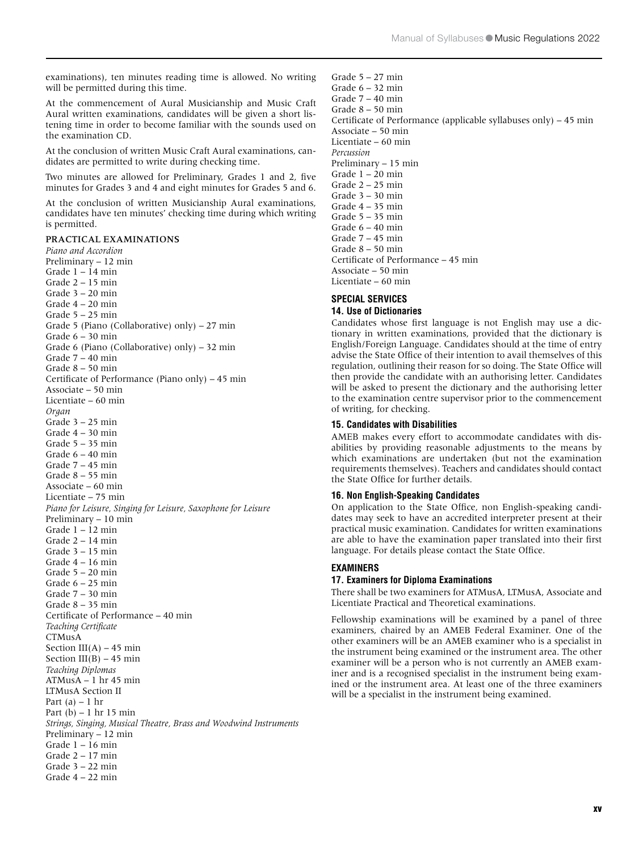examinations), ten minutes reading time is allowed. No writing will be permitted during this time.

At the commencement of Aural Musicianship and Music Craft Aural written examinations, candidates will be given a short listening time in order to become familiar with the sounds used on the examination CD.

At the conclusion of written Music Craft Aural examinations, candidates are permitted to write during checking time.

Two minutes are allowed for Preliminary, Grades 1 and 2, five minutes for Grades 3 and 4 and eight minutes for Grades 5 and 6.

At the conclusion of written Musicianship Aural examinations, candidates have ten minutes' checking time during which writing is permitted.

#### PRACTICAL EXAMINATIONS

*Piano and Accordion*  Preliminary – 12 min Grade 1 – 14 min Grade 2 – 15 min Grade 3 – 20 min Grade 4 – 20 min Grade 5 – 25 min Grade 5 (Piano (Collaborative) only) – 27 min Grade  $6 - 30$  min Grade 6 (Piano (Collaborative) only) – 32 min Grade 7 – 40 min Grade 8 – 50 min Certificate of Performance (Piano only) – 45 min Associate – 50 min Licentiate – 60 min *Organ* Grade 3 – 25 min Grade 4 – 30 min Grade 5 – 35 min Grade 6 – 40 min Grade 7 – 45 min Grade 8 – 55 min Associate – 60 min Licentiate – 75 min *Piano for Leisure, Singing for Leisure, Saxophone for Leisure* Preliminary – 10 min Grade 1 – 12 min Grade 2 – 14 min Grade 3 – 15 min Grade 4 – 16 min Grade 5 – 20 min Grade 6 – 25 min Grade 7 – 30 min Grade 8 – 35 min Certificate of Performance – 40 min *Teaching Certificate* CTMusA Section III(A) – 45 min Section III(B)  $-45$  min *Teaching Diplomas* ATMusA – 1 hr 45 min LTMusA Section II Part (a) – 1 hr Part  $(b)$  – 1 hr 15 min *Strings, Singing, Musical Theatre, Brass and Woodwind Instruments* Preliminary – 12 min Grade 1 – 16 min Grade 2 – 17 min Grade 3 – 22 min Grade 4 – 22 min

Grade 5 – 27 min Grade 6 – 32 min Grade 7 – 40 min Grade 8 – 50 min Certificate of Performance (applicable syllabuses only) – 45 min Associate – 50 min Licentiate – 60 min *Percussion* Preliminary – 15 min Grade  $1 - 20$  min Grade  $2 - 25$  min Grade 3 – 30 min Grade 4 – 35 min Grade 5 – 35 min Grade 6 – 40 min Grade  $7 - 45$  min Grade 8 – 50 min Certificate of Performance – 45 min Associate – 50 min Licentiate – 60 min

#### **SPECIAL SERVICES 14. Use of Dictionaries**

Candidates whose first language is not English may use a dictionary in written examinations, provided that the dictionary is English/Foreign Language. Candidates should at the time of entry advise the State Office of their intention to avail themselves of this regulation, outlining their reason for so doing. The State Office will then provide the candidate with an authorising letter. Candidates will be asked to present the dictionary and the authorising letter to the examination centre supervisor prior to the commencement of writing, for checking.

#### **15. Candidates with Disabilities**

AMEB makes every effort to accommodate candidates with disabilities by providing reasonable adjustments to the means by which examinations are undertaken (but not the examination requirements themselves). Teachers and candidates should contact the State Office for further details.

#### **16. Non English-Speaking Candidates**

On application to the State Office, non English-speaking candidates may seek to have an accredited interpreter present at their practical music examination. Candidates for written examinations are able to have the examination paper translated into their first language. For details please contact the State Office.

#### **EXAMINERS**

#### **17. Examiners for Diploma Examinations**

There shall be two examiners for ATMusA, LTMusA, Associate and Licentiate Practical and Theoretical examinations.

Fellowship examinations will be examined by a panel of three examiners, chaired by an AMEB Federal Examiner. One of the other examiners will be an AMEB examiner who is a specialist in the instrument being examined or the instrument area. The other examiner will be a person who is not currently an AMEB examiner and is a recognised specialist in the instrument being examined or the instrument area. At least one of the three examiners will be a specialist in the instrument being examined.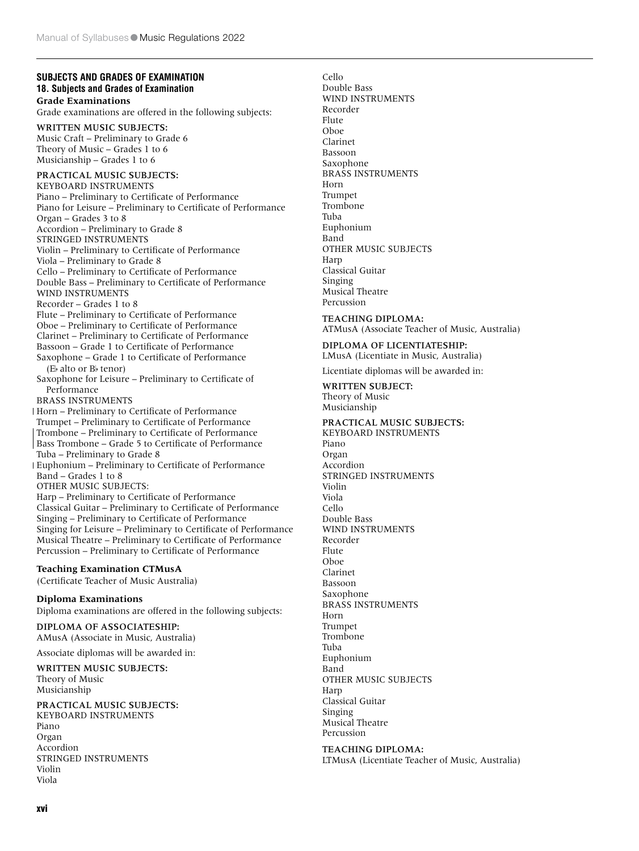### **SUBJECTS AND GRADES OF EXAMINATION 18. Subjects and Grades of Examination Grade Examinations**

Grade examinations are offered in the following subjects:

WRITTEN MUSIC SUBJECTS: Music Craft – Preliminary to Grade 6 Theory of Music – Grades 1 to 6 Musicianship – Grades 1 to 6

# PRACTICAL MUSIC SUBJECTS:

KEYBOARD INSTRUMENTS Piano – Preliminary to Certificate of Performance Piano for Leisure – Preliminary to Certificate of Performance Organ – Grades 3 to 8 Accordion – Preliminary to Grade 8 STRINGED INSTRUMENTS Violin – Preliminary to Certificate of Performance Viola – Preliminary to Grade 8 Cello – Preliminary to Certificate of Performance Double Bass – Preliminary to Certificate of Performance WIND INSTRUMENTS Recorder – Grades 1 to 8 Flute – Preliminary to Certificate of Performance Oboe – Preliminary to Certificate of Performance Clarinet – Preliminary to Certificate of Performance Bassoon – Grade 1 to Certificate of Performance Saxophone – Grade 1 to Certificate of Performance ( $E<sub>b</sub>$  alto or  $B<sub>b</sub>$  tenor) Saxophone for Leisure – Preliminary to Certificate of Performance BRASS INSTRUMENTS Horn – Preliminary to Certificate of Performance Trumpet – Preliminary to Certificate of Performance Trombone – Preliminary to Certificate of Performance Bass Trombone – Grade 5 to Certificate of Performance Tuba – Preliminary to Grade 8 Euphonium – Preliminary to Certificate of Performance Band – Grades 1 to 8 OTHER MUSIC SUBJECTS: Harp – Preliminary to Certificate of Performance Classical Guitar – Preliminary to Certificate of Performance Singing – Preliminary to Certificate of Performance Singing for Leisure – Preliminary to Certificate of Performance Musical Theatre – Preliminary to Certificate of Performance Percussion – Preliminary to Certificate of Performance

# **Teaching Examination CTMusA**

(Certificate Teacher of Music Australia)

**Diploma Examinations** Diploma examinations are offered in the following subjects:

#### DIPLOMA OF ASSOCIATESHIP: AMusA (Associate in Music, Australia)

Associate diplomas will be awarded in:

WRITTEN MUSIC SUBJECTS: Theory of Music Musicianship

PRACTICAL MUSIC SUBJECTS:

KEYBOARD INSTRUMENTS Piano Organ Accordion STRINGED INSTRUMENTS Violin Viola

Double Bass WIND INSTRUMENTS Recorder Flute Oboe Clarinet Bassoon Saxophone BRASS INSTRUMENTS Horn Trumpet Trombone Tuba Euphonium Band OTHER MUSIC SUBJECTS Harp Classical Guitar Singing Musical Theatre Percussion

Cello

#### TEACHING DIPLOMA: ATMusA (Associate Teacher of Music, Australia)

#### DIPLOMA OF LICENTIATESHIP: LMusA (Licentiate in Music, Australia)

Licentiate diplomas will be awarded in:

# WRITTEN SUBJECT:

Theory of Music Musicianship

# PRACTICAL MUSIC SUBJECTS: KEYBOARD INSTRUMENTS

Piano Organ Accordion STRINGED INSTRUMENTS Violin Viola Cello Double Bass WIND INSTRUMENTS Recorder Flute Oboe Clarinet Bassoon Saxophone BRASS INSTRUMENTS Horn Trumpet Trombone Tuba Euphonium Band OTHER MUSIC SUBJECTS Harp Classical Guitar Singing Musical Theatre Percussion

#### TEACHING DIPLOMA: LTMusA (Licentiate Teacher of Music, Australia)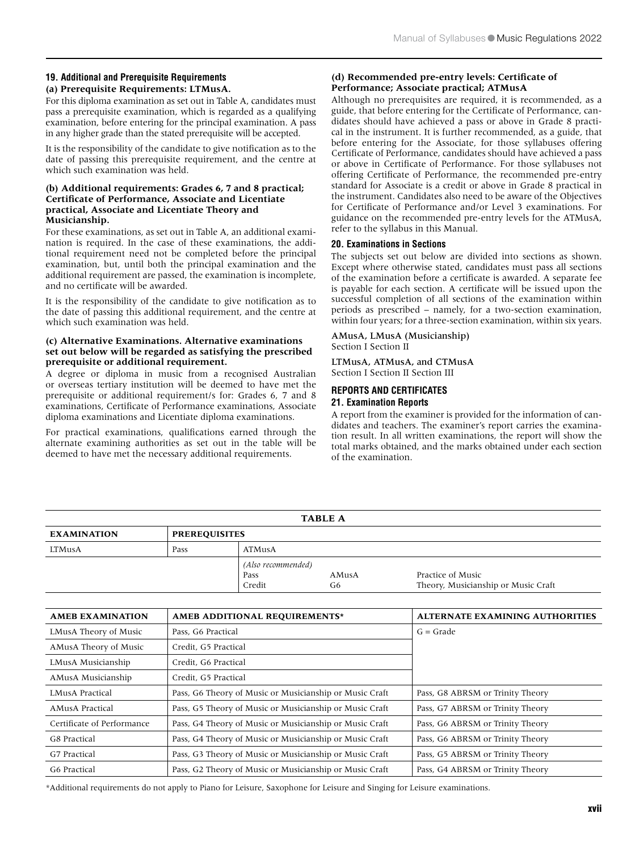# **19. Additional and Prerequisite Requirements**

# **(a) Prerequisite Requirements: LTMusA.**

For this diploma examination as set out in Table A, candidates must pass a prerequisite examination, which is regarded as a qualifying examination, before entering for the principal examination. A pass in any higher grade than the stated prerequisite will be accepted.

It is the responsibility of the candidate to give notification as to the date of passing this prerequisite requirement, and the centre at which such examination was held.

### **(b) Additional requirements: Grades 6, 7 and 8 practical; Certificate of Performance, Associate and Licentiate practical, Associate and Licentiate Theory and Musicianship.**

For these examinations, as set out in Table A, an additional examination is required. In the case of these examinations, the additional requirement need not be completed before the principal examination, but, until both the principal examination and the additional requirement are passed, the examination is incomplete, and no certificate will be awarded.

It is the responsibility of the candidate to give notification as to the date of passing this additional requirement, and the centre at which such examination was held.

#### **(c) Alternative Examinations. Alternative examinations set out below will be regarded as satisfying the prescribed prerequisite or additional requirement.**

A degree or diploma in music from a recognised Australian or overseas tertiary institution will be deemed to have met the prerequisite or additional requirement/s for: Grades 6, 7 and 8 examinations, Certificate of Performance examinations, Associate diploma examinations and Licentiate diploma examinations.

For practical examinations, qualifications earned through the alternate examining authorities as set out in the table will be deemed to have met the necessary additional requirements.

# **(d) Recommended pre-entry levels: Certificate of Performance; Associate practical; ATMusA**

Although no prerequisites are required, it is recommended, as a guide, that before entering for the Certificate of Performance, candidates should have achieved a pass or above in Grade 8 practical in the instrument. It is further recommended, as a guide, that before entering for the Associate, for those syllabuses offering Certificate of Performance, candidates should have achieved a pass or above in Certificate of Performance. For those syllabuses not offering Certificate of Performance, the recommended pre-entry standard for Associate is a credit or above in Grade 8 practical in the instrument. Candidates also need to be aware of the Objectives for Certificate of Performance and/or Level 3 examinations. For guidance on the recommended pre-entry levels for the ATMusA, refer to the syllabus in this Manual.

# **20. Examinations in Sections**

The subjects set out below are divided into sections as shown. Except where otherwise stated, candidates must pass all sections of the examination before a certificate is awarded. A separate fee is payable for each section. A certificate will be issued upon the successful completion of all sections of the examination within periods as prescribed – namely, for a two-section examination, within four years; for a three-section examination, within six years.

#### AMusA, LMusA (Musicianship) Section I Section II

LTMusA, ATMusA, and CTMusA Section I Section II Section III

# **REPORTS AND CERTIFICATES 21. Examination Reports**

A report from the examiner is provided for the information of candidates and teachers. The examiner's report carries the examination result. In all written examinations, the report will show the total marks obtained, and the marks obtained under each section of the examination.

| <b>TABLE A</b>     |                      |                    |       |                                     |  |
|--------------------|----------------------|--------------------|-------|-------------------------------------|--|
| <b>EXAMINATION</b> | <b>PREREQUISITES</b> |                    |       |                                     |  |
| LTMusA             | Pass                 | ATMusA             |       |                                     |  |
|                    |                      | (Also recommended) |       |                                     |  |
|                    |                      | Pass               | AMusA | Practice of Music                   |  |
|                    |                      | Credit             | G6    | Theory, Musicianship or Music Craft |  |

| <b>AMEB EXAMINATION</b>    | AMEB ADDITIONAL REQUIREMENTS*                           | <b>ALTERNATE EXAMINING AUTHORITIES</b> |
|----------------------------|---------------------------------------------------------|----------------------------------------|
| LMusA Theory of Music      | Pass, G6 Practical                                      | $G = Grade$                            |
| AMusA Theory of Music      | Credit, G5 Practical                                    |                                        |
| LMusA Musicianship         | Credit. G6 Practical                                    |                                        |
| AMusA Musicianship         | Credit, G5 Practical                                    |                                        |
| <b>LMusA Practical</b>     | Pass, G6 Theory of Music or Musicianship or Music Craft | Pass, G8 ABRSM or Trinity Theory       |
| <b>AMusA Practical</b>     | Pass, G5 Theory of Music or Musicianship or Music Craft | Pass, G7 ABRSM or Trinity Theory       |
| Certificate of Performance | Pass, G4 Theory of Music or Musicianship or Music Craft | Pass, G6 ABRSM or Trinity Theory       |
| G8 Practical               | Pass, G4 Theory of Music or Musicianship or Music Craft | Pass, G6 ABRSM or Trinity Theory       |
| G7 Practical               | Pass, G3 Theory of Music or Musicianship or Music Craft | Pass. G5 ABRSM or Trinity Theory       |
| G6 Practical               | Pass, G2 Theory of Music or Musicianship or Music Craft | Pass, G4 ABRSM or Trinity Theory       |

\*Additional requirements do not apply to Piano for Leisure, Saxophone for Leisure and Singing for Leisure examinations.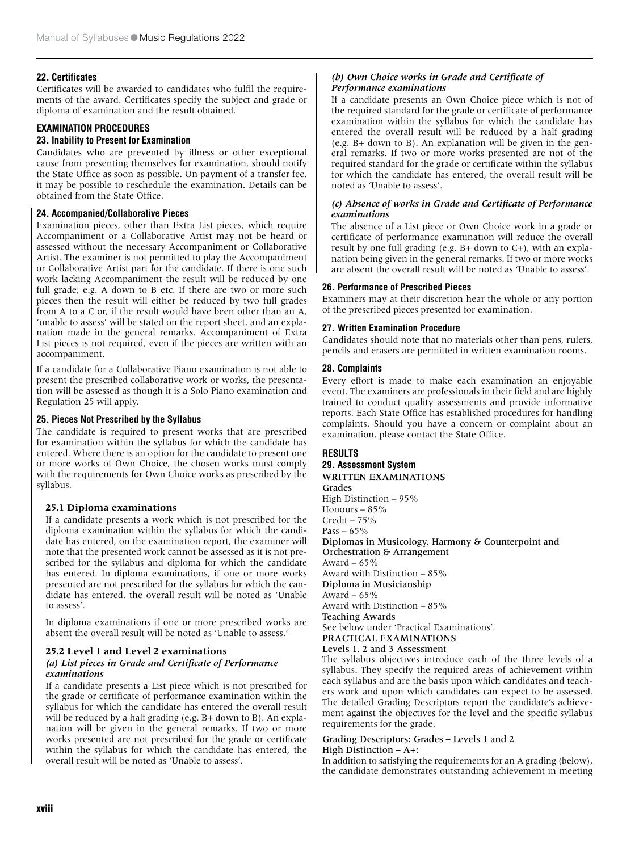# **22. Certificates**

Certificates will be awarded to candidates who fulfil the requirements of the award. Certificates specify the subject and grade or diploma of examination and the result obtained.

# **EXAMINATION PROCEDURES**

#### **23. Inability to Present for Examination**

Candidates who are prevented by illness or other exceptional cause from presenting themselves for examination, should notify the State Office as soon as possible. On payment of a transfer fee, it may be possible to reschedule the examination. Details can be obtained from the State Office.

### **24. Accompanied/Collaborative Pieces**

Examination pieces, other than Extra List pieces, which require Accompaniment or a Collaborative Artist may not be heard or assessed without the necessary Accompaniment or Collaborative Artist. The examiner is not permitted to play the Accompaniment or Collaborative Artist part for the candidate. If there is one such work lacking Accompaniment the result will be reduced by one full grade; e.g. A down to B etc. If there are two or more such pieces then the result will either be reduced by two full grades from A to a C or, if the result would have been other than an A, 'unable to assess' will be stated on the report sheet, and an explanation made in the general remarks. Accompaniment of Extra List pieces is not required, even if the pieces are written with an accompaniment.

If a candidate for a Collaborative Piano examination is not able to present the prescribed collaborative work or works, the presentation will be assessed as though it is a Solo Piano examination and Regulation 25 will apply.

#### **25. Pieces Not Prescribed by the Syllabus**

The candidate is required to present works that are prescribed for examination within the syllabus for which the candidate has entered. Where there is an option for the candidate to present one or more works of Own Choice, the chosen works must comply with the requirements for Own Choice works as prescribed by the syllabus.

#### **25.1 Diploma examinations**

If a candidate presents a work which is not prescribed for the diploma examination within the syllabus for which the candidate has entered, on the examination report, the examiner will note that the presented work cannot be assessed as it is not prescribed for the syllabus and diploma for which the candidate has entered. In diploma examinations, if one or more works presented are not prescribed for the syllabus for which the candidate has entered, the overall result will be noted as 'Unable to assess'.

In diploma examinations if one or more prescribed works are absent the overall result will be noted as 'Unable to assess.'

# **25.2 Level 1 and Level 2 examinations**

#### *(a) List pieces in Grade and Certificate of Performance examinations*

If a candidate presents a List piece which is not prescribed for the grade or certificate of performance examination within the syllabus for which the candidate has entered the overall result will be reduced by a half grading (e.g. B+ down to B). An explanation will be given in the general remarks. If two or more works presented are not prescribed for the grade or certificate within the syllabus for which the candidate has entered, the overall result will be noted as 'Unable to assess'.

#### *(b) Own Choice works in Grade and Certificate of Performance examinations*

If a candidate presents an Own Choice piece which is not of the required standard for the grade or certificate of performance examination within the syllabus for which the candidate has entered the overall result will be reduced by a half grading (e.g. B+ down to B). An explanation will be given in the general remarks. If two or more works presented are not of the required standard for the grade or certificate within the syllabus for which the candidate has entered, the overall result will be noted as 'Unable to assess'.

# *(c) Absence of works in Grade and Certificate of Performance examinations*

The absence of a List piece or Own Choice work in a grade or certificate of performance examination will reduce the overall result by one full grading (e.g. B+ down to C+), with an explanation being given in the general remarks. If two or more works are absent the overall result will be noted as 'Unable to assess'.

#### **26. Performance of Prescribed Pieces**

Examiners may at their discretion hear the whole or any portion of the prescribed pieces presented for examination.

#### **27. Written Examination Procedure**

Candidates should note that no materials other than pens, rulers, pencils and erasers are permitted in written examination rooms.

# **28. Complaints**

Every effort is made to make each examination an enjoyable event. The examiners are professionals in their field and are highly trained to conduct quality assessments and provide informative reports. Each State Office has established procedures for handling complaints. Should you have a concern or complaint about an examination, please contact the State Office.

#### **RESULTS**

**29. Assessment System** WRITTEN EXAMINATIONS Grades High Distinction – 95% Honours – 85%  $Credit - 75%$ Pass –  $65\%$ Diplomas in Musicology, Harmony & Counterpoint and Orchestration & Arrangement Award –  $65\%$ Award with Distinction – 85% Diploma in Musicianship Award –  $65\%$ Award with Distinction – 85% Teaching Awards See below under 'Practical Examinations'. PRACTICAL EXAMINATIONS Levels 1, 2 and 3 Assessment

The syllabus objectives introduce each of the three levels of a syllabus. They specify the required areas of achievement within each syllabus and are the basis upon which candidates and teachers work and upon which candidates can expect to be assessed. The detailed Grading Descriptors report the candidate's achievement against the objectives for the level and the specific syllabus requirements for the grade.

#### Grading Descriptors: Grades – Levels 1 and 2 High Distinction – A+:

In addition to satisfying the requirements for an A grading (below), the candidate demonstrates outstanding achievement in meeting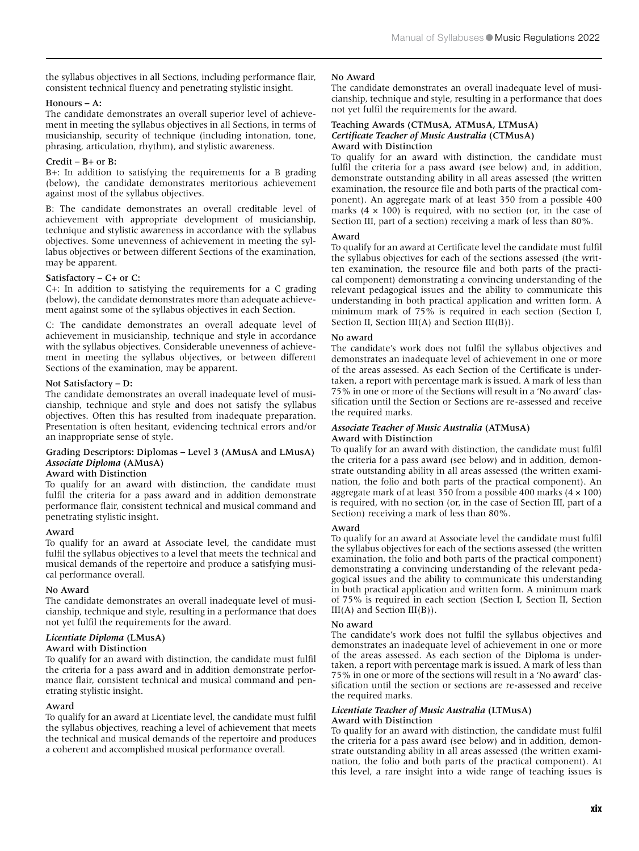the syllabus objectives in all Sections, including performance flair, consistent technical fluency and penetrating stylistic insight.

#### Honours – A:

The candidate demonstrates an overall superior level of achievement in meeting the syllabus objectives in all Sections, in terms of musicianship, security of technique (including intonation, tone, phrasing, articulation, rhythm), and stylistic awareness.

#### Credit – B+ or B:

B+: In addition to satisfying the requirements for a B grading (below), the candidate demonstrates meritorious achievement against most of the syllabus objectives.

B: The candidate demonstrates an overall creditable level of achievement with appropriate development of musicianship, technique and stylistic awareness in accordance with the syllabus objectives. Some unevenness of achievement in meeting the syllabus objectives or between different Sections of the examination, may be apparent.

#### Satisfactory – C+ or C:

C+: In addition to satisfying the requirements for a C grading (below), the candidate demonstrates more than adequate achievement against some of the syllabus objectives in each Section.

C: The candidate demonstrates an overall adequate level of achievement in musicianship, technique and style in accordance with the syllabus objectives. Considerable unevenness of achievement in meeting the syllabus objectives, or between different Sections of the examination, may be apparent.

### Not Satisfactory – D:

The candidate demonstrates an overall inadequate level of musicianship, technique and style and does not satisfy the syllabus objectives. Often this has resulted from inadequate preparation. Presentation is often hesitant, evidencing technical errors and/or an inappropriate sense of style.

# Grading Descriptors: Diplomas – Level 3 (AMusA and LMusA) *Associate Diploma* (AMusA)

#### Award with Distinction

To qualify for an award with distinction, the candidate must fulfil the criteria for a pass award and in addition demonstrate performance flair, consistent technical and musical command and penetrating stylistic insight.

#### Award

To qualify for an award at Associate level, the candidate must fulfil the syllabus objectives to a level that meets the technical and musical demands of the repertoire and produce a satisfying musical performance overall.

#### No Award

The candidate demonstrates an overall inadequate level of musicianship, technique and style, resulting in a performance that does not yet fulfil the requirements for the award.

# *Licentiate Diploma* (LMusA)

Award with Distinction

To qualify for an award with distinction, the candidate must fulfil the criteria for a pass award and in addition demonstrate performance flair, consistent technical and musical command and penetrating stylistic insight.

#### Award

To qualify for an award at Licentiate level, the candidate must fulfil the syllabus objectives, reaching a level of achievement that meets the technical and musical demands of the repertoire and produces a coherent and accomplished musical performance overall.

#### No Award

The candidate demonstrates an overall inadequate level of musicianship, technique and style, resulting in a performance that does not yet fulfil the requirements for the award.

#### Teaching Awards (CTMusA, ATMusA, LTMusA) *Certificate Teacher of Music Australia* (CTMusA) Award with Distinction

To qualify for an award with distinction, the candidate must fulfil the criteria for a pass award (see below) and, in addition, demonstrate outstanding ability in all areas assessed (the written examination, the resource file and both parts of the practical component). An aggregate mark of at least 350 from a possible 400 marks  $(4 \times 100)$  is required, with no section (or, in the case of Section III, part of a section) receiving a mark of less than 80%.

#### Award

To qualify for an award at Certificate level the candidate must fulfil the syllabus objectives for each of the sections assessed (the written examination, the resource file and both parts of the practical component) demonstrating a convincing understanding of the relevant pedagogical issues and the ability to communicate this understanding in both practical application and written form. A minimum mark of 75% is required in each section (Section I, Section II, Section III(A) and Section III(B)).

#### No award

The candidate's work does not fulfil the syllabus objectives and demonstrates an inadequate level of achievement in one or more of the areas assessed. As each Section of the Certificate is undertaken, a report with percentage mark is issued. A mark of less than 75% in one or more of the Sections will result in a 'No award' classification until the Section or Sections are re-assessed and receive the required marks.

#### *Associate Teacher of Music Australia* (ATMusA) Award with Distinction

To qualify for an award with distinction, the candidate must fulfil the criteria for a pass award (see below) and in addition, demonstrate outstanding ability in all areas assessed (the written examination, the folio and both parts of the practical component). An aggregate mark of at least 350 from a possible 400 marks  $(4 \times 100)$ is required, with no section (or, in the case of Section III, part of a Section) receiving a mark of less than 80%.

#### Award

To qualify for an award at Associate level the candidate must fulfil the syllabus objectives for each of the sections assessed (the written examination, the folio and both parts of the practical component) demonstrating a convincing understanding of the relevant pedagogical issues and the ability to communicate this understanding in both practical application and written form. A minimum mark of 75% is required in each section (Section I, Section II, Section  $III(A)$  and Section  $III(B)$ ).

#### No award

The candidate's work does not fulfil the syllabus objectives and demonstrates an inadequate level of achievement in one or more of the areas assessed. As each section of the Diploma is undertaken, a report with percentage mark is issued. A mark of less than 75% in one or more of the sections will result in a 'No award' classification until the section or sections are re-assessed and receive the required marks.

#### *Licentiate Teacher of Music Australia* (LTMusA) Award with Distinction

To qualify for an award with distinction, the candidate must fulfil the criteria for a pass award (see below) and in addition, demonstrate outstanding ability in all areas assessed (the written examination, the folio and both parts of the practical component). At this level, a rare insight into a wide range of teaching issues is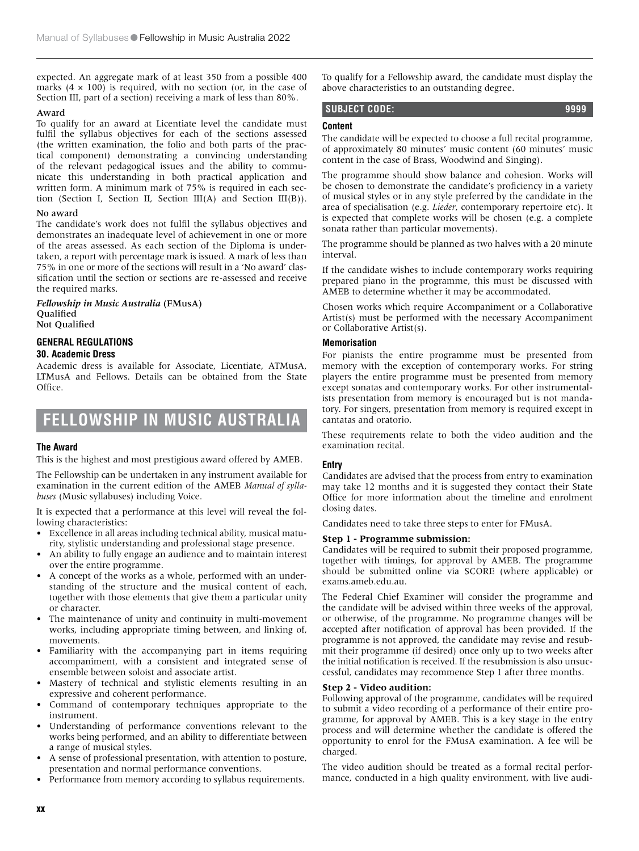expected. An aggregate mark of at least 350 from a possible 400 marks  $(4 \times 100)$  is required, with no section (or, in the case of Section III, part of a section) receiving a mark of less than 80%.

#### Award

To qualify for an award at Licentiate level the candidate must fulfil the syllabus objectives for each of the sections assessed (the written examination, the folio and both parts of the practical component) demonstrating a convincing understanding of the relevant pedagogical issues and the ability to communicate this understanding in both practical application and written form. A minimum mark of 75% is required in each section (Section I, Section II, Section III(A) and Section III(B)).

#### No award

The candidate's work does not fulfil the syllabus objectives and demonstrates an inadequate level of achievement in one or more of the areas assessed. As each section of the Diploma is undertaken, a report with percentage mark is issued. A mark of less than 75% in one or more of the sections will result in a 'No award' classification until the section or sections are re-assessed and receive the required marks.

# *Fellowship in Music Australia* (FMusA) Qualified

Not Qualified

# **GENERAL REGULATIONS**

#### **30. Academic Dress**

Academic dress is available for Associate, Licentiate, ATMusA, LTMusA and Fellows. Details can be obtained from the State Office.

# **FELLOWSHIP IN MUSIC AUSTRALIA**

#### **The Award**

This is the highest and most prestigious award offered by AMEB.

The Fellowship can be undertaken in any instrument available for examination in the current edition of the AMEB *Manual of syllabuses* (Music syllabuses) including Voice.

It is expected that a performance at this level will reveal the following characteristics:

- Excellence in all areas including technical ability, musical maturity, stylistic understanding and professional stage presence.
- An ability to fully engage an audience and to maintain interest over the entire programme.
- A concept of the works as a whole, performed with an understanding of the structure and the musical content of each, together with those elements that give them a particular unity or character.
- The maintenance of unity and continuity in multi-movement works, including appropriate timing between, and linking of, movements.
- Familiarity with the accompanying part in items requiring accompaniment, with a consistent and integrated sense of ensemble between soloist and associate artist.
- Mastery of technical and stylistic elements resulting in an expressive and coherent performance.
- Command of contemporary techniques appropriate to the instrument.
- Understanding of performance conventions relevant to the works being performed, and an ability to differentiate between a range of musical styles.
- A sense of professional presentation, with attention to posture, presentation and normal performance conventions.
- Performance from memory according to syllabus requirements.

To qualify for a Fellowship award, the candidate must display the above characteristics to an outstanding degree.

# **SUBJECT CODE: 9999**

# **Content**

The candidate will be expected to choose a full recital programme, of approximately 80 minutes' music content (60 minutes' music content in the case of Brass, Woodwind and Singing).

The programme should show balance and cohesion. Works will be chosen to demonstrate the candidate's proficiency in a variety of musical styles or in any style preferred by the candidate in the area of specialisation (e.g. *Lieder*, contemporary repertoire etc). It is expected that complete works will be chosen (e.g. a complete sonata rather than particular movements).

The programme should be planned as two halves with a 20 minute interval.

If the candidate wishes to include contemporary works requiring prepared piano in the programme, this must be discussed with AMEB to determine whether it may be accommodated.

Chosen works which require Accompaniment or a Collaborative Artist(s) must be performed with the necessary Accompaniment or Collaborative Artist(s).

# **Memorisation**

For pianists the entire programme must be presented from memory with the exception of contemporary works. For string players the entire programme must be presented from memory except sonatas and contemporary works. For other instrumentalists presentation from memory is encouraged but is not mandatory. For singers, presentation from memory is required except in cantatas and oratorio.

These requirements relate to both the video audition and the examination recital.

# **Entry**

Candidates are advised that the process from entry to examination may take 12 months and it is suggested they contact their State Office for more information about the timeline and enrolment closing dates.

Candidates need to take three steps to enter for FMusA.

# **Step 1 - Programme submission:**

Candidates will be required to submit their proposed programme, together with timings, for approval by AMEB. The programme should be submitted online via SCORE (where applicable) or exams.ameb.edu.au.

The Federal Chief Examiner will consider the programme and the candidate will be advised within three weeks of the approval, or otherwise, of the programme. No programme changes will be accepted after notification of approval has been provided. If the programme is not approved, the candidate may revise and resubmit their programme (if desired) once only up to two weeks after the initial notification is received. If the resubmission is also unsuccessful, candidates may recommence Step 1 after three months.

# **Step 2 - Video audition:**

Following approval of the programme, candidates will be required to submit a video recording of a performance of their entire programme, for approval by AMEB. This is a key stage in the entry process and will determine whether the candidate is offered the opportunity to enrol for the FMusA examination. A fee will be charged.

The video audition should be treated as a formal recital performance, conducted in a high quality environment, with live audi